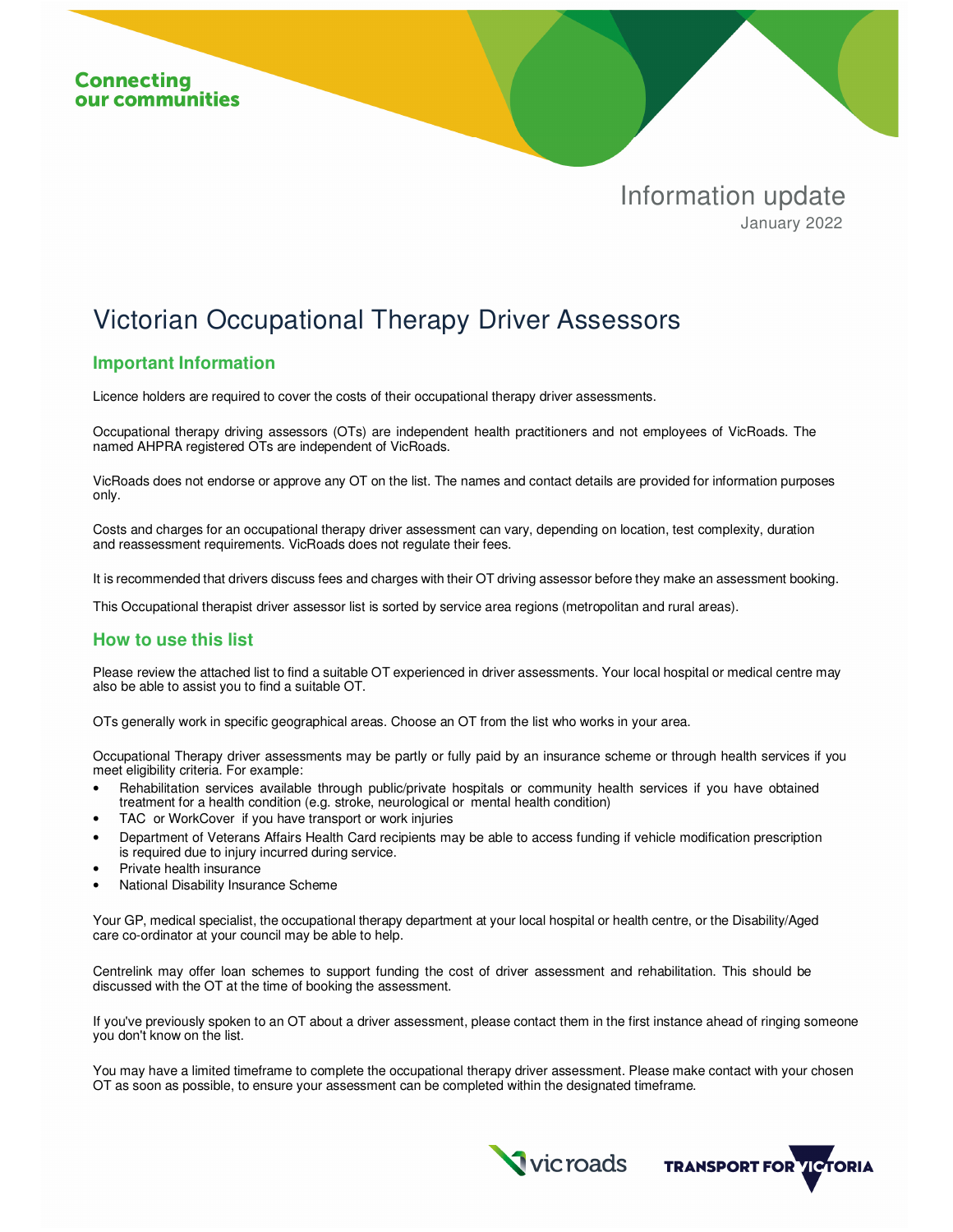

## Victorian Occupational Therapy Driver Assessors

## **Important Information**

Licence holders are required to cover the costs of their occupational therapy driver assessments.

Occupational therapy driving assessors (OTs) are independent health practitioners and not employees of VicRoads. The named AHPRA registered OTs are independent of VicRoads.

VicRoads does not endorse or approve any OT on the list. The names and contact details are provided for information purposes only.

Costs and charges for an occupational therapy driver assessment can vary, depending on location, test complexity, duration and reassessment requirements. VicRoads does not regulate their fees.

It is recommended that drivers discuss fees and charges with their OT driving assessor before they make an assessment booking.

This Occupational therapist driver assessor list is sorted by service area regions (metropolitan and rural areas).

## **How to use this list**

Please review the attached list to find a suitable OT experienced in driver assessments. Your local hospital or medical centre may also be able to assist you to find a suitable OT.

OTs generally work in specific geographical areas. Choose an OT from the list who works in your area.

Occupational Therapy driver assessments may be partly or fully paid by an insurance scheme or through health services if you meet eligibility criteria. For example:

- Rehabilitation services available through public/private hospitals or community health services if you have obtained treatment for a health condition (e.g. stroke, neurological or mental health condition)
- TAC or WorkCover if you have transport or work injuries
- Department of Veterans Affairs Health Card recipients may be able to access funding if vehicle modification prescription is required due to injury incurred during service.
- Private health insurance
- National Disability Insurance Scheme

Your GP, medical specialist, the occupational therapy department at your local hospital or health centre, or the Disability/Aged care co-ordinator at your council may be able to help.

Centrelink may offer loan schemes to support funding the cost of driver assessment and rehabilitation. This should be discussed with the OT at the time of booking the assessment.

If you've previously spoken to an OT about a driver assessment, please contact them in the first instance ahead of ringing someone you don't know on the list.

You may have a limited timeframe to complete the occupational therapy driver assessment. Please make contact with your chosen OT as soon as possible, to ensure your assessment can be completed within the designated timeframe.

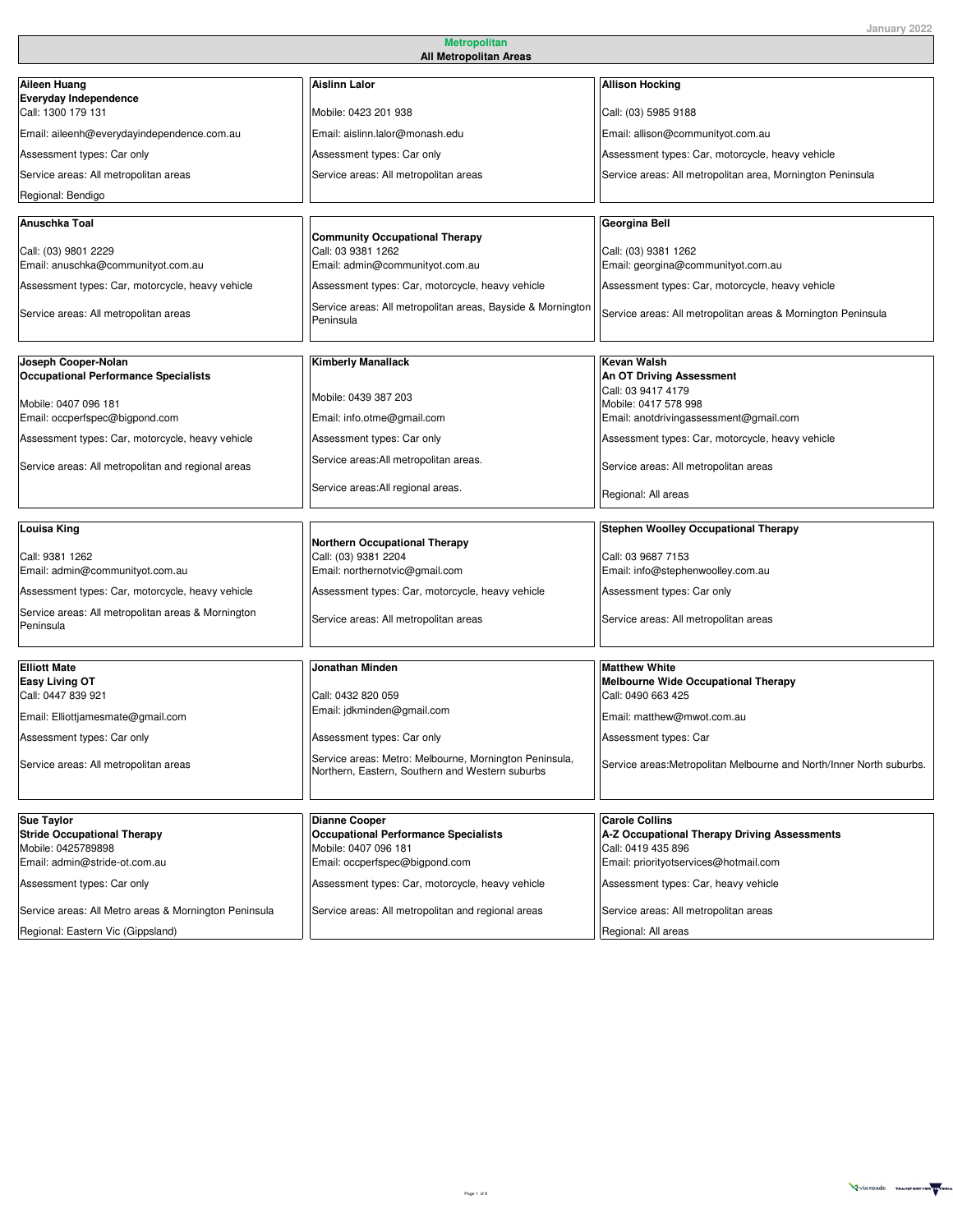| Aileen Huang                                                       | <b>Aislinn Lalor</b>                                                     | <b>Allison Hocking</b>                                                |
|--------------------------------------------------------------------|--------------------------------------------------------------------------|-----------------------------------------------------------------------|
| <b>Everyday Independence</b><br>Call: 1300 179 131                 | Mobile: 0423 201 938                                                     | Call: (03) 5985 9188                                                  |
| Email: aileenh@everydayindependence.com.au                         | Email: aislinn.lalor@monash.edu                                          | Email: allison@communityot.com.au                                     |
| Assessment types: Car only                                         | Assessment types: Car only                                               | Assessment types: Car, motorcycle, heavy vehicle                      |
| Service areas: All metropolitan areas                              | Service areas: All metropolitan areas                                    | Service areas: All metropolitan area, Mornington Peninsula            |
| Regional: Bendigo                                                  |                                                                          |                                                                       |
|                                                                    |                                                                          |                                                                       |
| Anuschka Toal                                                      | <b>Community Occupational Therapy</b>                                    | Georgina Bell                                                         |
| Call: (03) 9801 2229<br>Email: anuschka@communityot.com.au         | Call: 03 9381 1262<br>Email: admin@communityot.com.au                    | Call: (03) 9381 1262<br>Email: georgina@communityot.com.au            |
|                                                                    |                                                                          |                                                                       |
| Assessment types: Car, motorcycle, heavy vehicle                   | Assessment types: Car, motorcycle, heavy vehicle                         | Assessment types: Car, motorcycle, heavy vehicle                      |
| Service areas: All metropolitan areas                              | Service areas: All metropolitan areas, Bayside & Mornington<br>Peninsula | Service areas: All metropolitan areas & Mornington Peninsula          |
|                                                                    |                                                                          |                                                                       |
| Joseph Cooper-Nolan<br><b>Occupational Performance Specialists</b> | <b>Kimberly Manallack</b>                                                | <b>Kevan Walsh</b>                                                    |
|                                                                    |                                                                          | An OT Driving Assessment<br>Call: 03 9417 4179                        |
| Mobile: 0407 096 181                                               | Mobile: 0439 387 203                                                     | Mobile: 0417 578 998                                                  |
| Email: occperfspec@bigpond.com                                     | Email: info.otme@gmail.com                                               | Email: anotdrivingassessment@gmail.com                                |
| Assessment types: Car, motorcycle, heavy vehicle                   | Assessment types: Car only                                               | Assessment types: Car, motorcycle, heavy vehicle                      |
| Service areas: All metropolitan and regional areas                 | Service areas: All metropolitan areas.                                   | Service areas: All metropolitan areas                                 |
|                                                                    | Service areas: All regional areas.                                       | Regional: All areas                                                   |
| Louisa King                                                        |                                                                          | <b>Stephen Woolley Occupational Therapy</b>                           |
|                                                                    | <b>Northern Occupational Therapy</b>                                     |                                                                       |
| Call: 9381 1262                                                    | Call: (03) 9381 2204                                                     | Call: 03 9687 7153                                                    |
| Email: admin@communityot.com.au                                    | Email: northernotvic@gmail.com                                           | Email: info@stephenwoolley.com.au                                     |
| Assessment types: Car, motorcycle, heavy vehicle                   | Assessment types: Car, motorcycle, heavy vehicle                         | Assessment types: Car only                                            |
| Service areas: All metropolitan areas & Mornington<br>Peninsula    | Service areas: All metropolitan areas                                    | Service areas: All metropolitan areas                                 |
|                                                                    |                                                                          |                                                                       |
| <b>Elliott Mate</b><br><b>Easy Living OT</b>                       | Jonathan Minden                                                          | <b>Matthew White</b><br><b>Melbourne Wide Occupational Therapy</b>    |
| Call: 0447 839 921                                                 | Call: 0432 820 059                                                       | Call: 0490 663 425                                                    |
| Email: Elliottjamesmate@gmail.com                                  | Email: jdkminden@gmail.com                                               | Email: matthew@mwot.com.au                                            |
| Assessment types: Car only                                         | Assessment types: Car only                                               | Assessment types: Car                                                 |
| Service areas: All metropolitan areas                              | Service areas: Metro: Melbourne, Mornington Peninsula,                   | Service areas: Metropolitan Melbourne and North/Inner North suburbs.  |
|                                                                    | Northern, Eastern, Southern and Western suburbs                          |                                                                       |
|                                                                    |                                                                          |                                                                       |
| <b>Sue Taylor</b><br><b>Stride Occupational Therapy</b>            | <b>Dianne Cooper</b><br><b>Occupational Performance Specialists</b>      | <b>Carole Collins</b><br>A-Z Occupational Therapy Driving Assessments |
| Mobile: 0425789898                                                 | Mobile: 0407 096 181                                                     | Call: 0419 435 896                                                    |
| Email: admin@stride-ot.com.au                                      | Email: occperfspec@bigpond.com                                           | Email: priorityotservices@hotmail.com                                 |
| Assessment types: Car only                                         | Assessment types: Car, motorcycle, heavy vehicle                         | Assessment types: Car, heavy vehicle                                  |
| Service areas: All Metro areas & Mornington Peninsula              | Service areas: All metropolitan and regional areas                       | Service areas: All metropolitan areas                                 |
| Regional: Eastern Vic (Gippsland)                                  |                                                                          | Regional: All areas                                                   |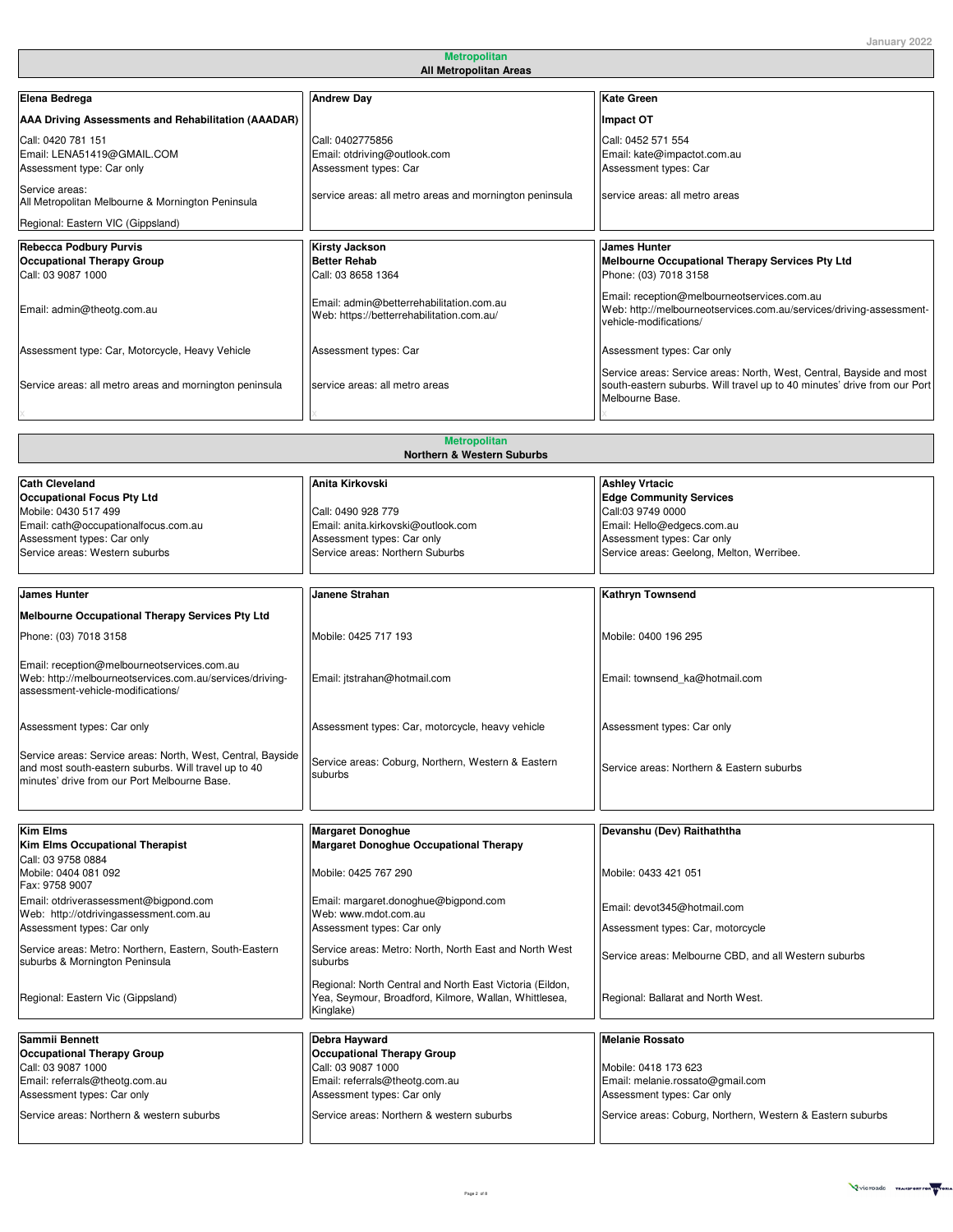| Elena Bedrega                                                                            | <b>Andrew Day</b>                                                                     | <b>Kate Green</b>                                                                                                                                                   |
|------------------------------------------------------------------------------------------|---------------------------------------------------------------------------------------|---------------------------------------------------------------------------------------------------------------------------------------------------------------------|
| AAA Driving Assessments and Rehabilitation (AAADAR)                                      |                                                                                       | Impact OT                                                                                                                                                           |
| Call: 0420 781 151<br>Email: LENA51419@GMAIL.COM<br>Assessment type: Car only            | Call: 0402775856<br>Email: otdriving@outlook.com<br>Assessment types: Car             | Call: 0452 571 554<br>Email: kate@impactot.com.au<br>Assessment types: Car                                                                                          |
| Service areas:<br>All Metropolitan Melbourne & Mornington Peninsula                      | service areas: all metro areas and mornington peninsula                               | service areas: all metro areas                                                                                                                                      |
| Regional: Eastern VIC (Gippsland)                                                        |                                                                                       |                                                                                                                                                                     |
| <b>Rebecca Podbury Purvis</b><br><b>Occupational Therapy Group</b><br>Call: 03 9087 1000 | <b>Kirsty Jackson</b><br><b>Better Rehab</b><br>Call: 03 8658 1364                    | <b>James Hunter</b><br>Melbourne Occupational Therapy Services Pty Ltd<br>Phone: (03) 7018 3158                                                                     |
| Email: admin@theotg.com.au                                                               | Email: admin@betterrehabilitation.com.au<br>Web: https://betterrehabilitation.com.au/ | Email: reception@melbourneotservices.com.au<br>Web: http://melbourneotservices.com.au/services/driving-assessment-<br>vehicle-modifications/                        |
| Assessment type: Car, Motorcycle, Heavy Vehicle                                          | Assessment types: Car                                                                 | Assessment types: Car only                                                                                                                                          |
| Service areas: all metro areas and mornington peninsula                                  | service areas: all metro areas                                                        | Service areas: Service areas: North, West, Central, Bayside and most<br>south-eastern suburbs. Will travel up to 40 minutes' drive from our Port<br>Melbourne Base. |
|                                                                                          |                                                                                       |                                                                                                                                                                     |
| <b>Metropolitan</b>                                                                      |                                                                                       |                                                                                                                                                                     |

| <b>Northern &amp; Western Suburbs</b>                       |                                                          |                                                            |
|-------------------------------------------------------------|----------------------------------------------------------|------------------------------------------------------------|
|                                                             |                                                          |                                                            |
| <b>Cath Cleveland</b>                                       | Anita Kirkovski                                          | <b>Ashley Vrtacic</b>                                      |
| <b>Occupational Focus Pty Ltd</b>                           |                                                          | <b>Edge Community Services</b>                             |
| Mobile: 0430 517 499                                        | Call: 0490 928 779                                       | Call:03 9749 0000                                          |
| Email: cath@occupationalfocus.com.au                        | Email: anita.kirkovski@outlook.com                       | Email: Hello@edgecs.com.au                                 |
| Assessment types: Car only                                  | Assessment types: Car only                               | Assessment types: Car only                                 |
| Service areas: Western suburbs                              | Service areas: Northern Suburbs                          | Service areas: Geelong, Melton, Werribee.                  |
|                                                             |                                                          |                                                            |
| <b>James Hunter</b>                                         | Janene Strahan                                           | <b>Kathryn Townsend</b>                                    |
| Melbourne Occupational Therapy Services Pty Ltd             |                                                          |                                                            |
| Phone: (03) 7018 3158                                       | Mobile: 0425 717 193                                     | Mobile: 0400 196 295                                       |
|                                                             |                                                          |                                                            |
| Email: reception@melbourneotservices.com.au                 |                                                          |                                                            |
| Web: http://melbourneotservices.com.au/services/driving-    | Email: jtstrahan@hotmail.com                             | Email: townsend_ka@hotmail.com                             |
| assessment-vehicle-modifications/                           |                                                          |                                                            |
|                                                             |                                                          |                                                            |
| Assessment types: Car only                                  | Assessment types: Car, motorcycle, heavy vehicle         | Assessment types: Car only                                 |
|                                                             |                                                          |                                                            |
| Service areas: Service areas: North, West, Central, Bayside |                                                          |                                                            |
| and most south-eastern suburbs. Will travel up to 40        | Service areas: Coburg, Northern, Western & Eastern       | Service areas: Northern & Eastern suburbs                  |
| minutes' drive from our Port Melbourne Base.                | suburbs                                                  |                                                            |
|                                                             |                                                          |                                                            |
|                                                             |                                                          |                                                            |
| <b>Kim Elms</b>                                             | <b>Margaret Donoghue</b>                                 | Devanshu (Dev) Raithaththa                                 |
| <b>Kim Elms Occupational Therapist</b>                      | <b>Margaret Donoghue Occupational Therapy</b>            |                                                            |
| Call: 03 9758 0884                                          |                                                          |                                                            |
| Mobile: 0404 081 092                                        | Mobile: 0425 767 290                                     | Mobile: 0433 421 051                                       |
| Fax: 9758 9007                                              |                                                          |                                                            |
| Email: otdriverassessment@bigpond.com                       | Email: margaret.donoghue@bigpond.com                     |                                                            |
| Web: http://otdrivingassessment.com.au                      | Web: www.mdot.com.au                                     | Email: devot345@hotmail.com                                |
| Assessment types: Car only                                  | Assessment types: Car only                               | Assessment types: Car, motorcycle                          |
| Service areas: Metro: Northern, Eastern, South-Eastern      | Service areas: Metro: North, North East and North West   |                                                            |
| suburbs & Mornington Peninsula                              | suburbs                                                  | Service areas: Melbourne CBD, and all Western suburbs      |
|                                                             |                                                          |                                                            |
|                                                             | Regional: North Central and North East Victoria (Eildon, |                                                            |
| Regional: Eastern Vic (Gippsland)                           | Yea, Seymour, Broadford, Kilmore, Wallan, Whittlesea,    | Regional: Ballarat and North West.                         |
|                                                             | Kinglake)                                                |                                                            |
| Sammii Bennett                                              | Debra Hayward                                            | <b>Melanie Rossato</b>                                     |
|                                                             | <b>Occupational Therapy Group</b>                        |                                                            |
| <b>Occupational Therapy Group</b><br>Call: 03 9087 1000     | Call: 03 9087 1000                                       | Mobile: 0418 173 623                                       |
| Email: referrals@theotg.com.au                              | Email: referrals@theotg.com.au                           | Email: melanie.rossato@gmail.com                           |
| Assessment types: Car only                                  | Assessment types: Car only                               | Assessment types: Car only                                 |
|                                                             |                                                          |                                                            |
| Service areas: Northern & western suburbs                   | Service areas: Northern & western suburbs                | Service areas: Coburg, Northern, Western & Eastern suburbs |

x x X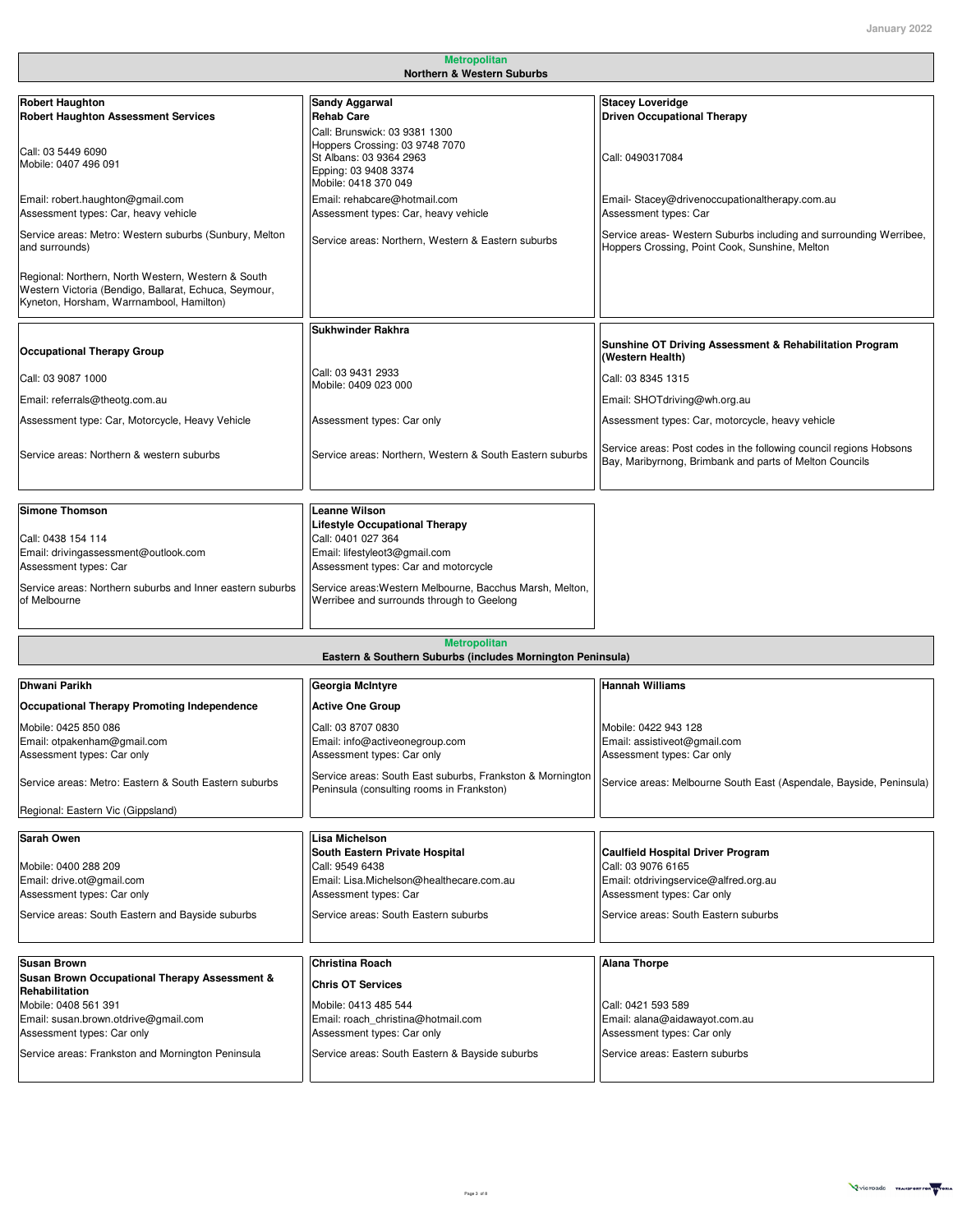| <b>Metropolitan</b><br><b>Northern &amp; Western Suburbs</b>                                                                                            |                                                                                                                    |                                                                                                                               |
|---------------------------------------------------------------------------------------------------------------------------------------------------------|--------------------------------------------------------------------------------------------------------------------|-------------------------------------------------------------------------------------------------------------------------------|
|                                                                                                                                                         |                                                                                                                    |                                                                                                                               |
| <b>Robert Haughton</b>                                                                                                                                  | <b>Sandy Aggarwal</b>                                                                                              | <b>Stacey Loveridge</b>                                                                                                       |
| <b>Robert Haughton Assessment Services</b>                                                                                                              | <b>Rehab Care</b>                                                                                                  | <b>Driven Occupational Therapy</b>                                                                                            |
| Call: 03 5449 6090<br>Mobile: 0407 496 091                                                                                                              | Call: Brunswick: 03 9381 1300<br>Hoppers Crossing: 03 9748 7070<br>St Albans: 03 9364 2963<br>Epping: 03 9408 3374 | Call: 0490317084                                                                                                              |
| Email: robert.haughton@gmail.com<br>Assessment types: Car, heavy vehicle                                                                                | Mobile: 0418 370 049<br>Email: rehabcare@hotmail.com<br>Assessment types: Car, heavy vehicle                       | Email-Stacey@drivenoccupationaltherapy.com.au<br>Assessment types: Car                                                        |
| Service areas: Metro: Western suburbs (Sunbury, Melton<br>and surrounds)                                                                                | Service areas: Northern, Western & Eastern suburbs                                                                 | Service areas- Western Suburbs including and surrounding Werribee,<br>Hoppers Crossing, Point Cook, Sunshine, Melton          |
| Regional: Northern, North Western, Western & South<br>Western Victoria (Bendigo, Ballarat, Echuca, Seymour,<br>Kyneton, Horsham, Warrnambool, Hamilton) |                                                                                                                    |                                                                                                                               |
|                                                                                                                                                         | <b>Sukhwinder Rakhra</b>                                                                                           |                                                                                                                               |
| <b>Occupational Therapy Group</b>                                                                                                                       |                                                                                                                    | Sunshine OT Driving Assessment & Rehabilitation Program<br>(Western Health)                                                   |
| Call: 03 9087 1000                                                                                                                                      | Call: 03 9431 2933<br>Mobile: 0409 023 000                                                                         | Call: 03 8345 1315                                                                                                            |
| Email: referrals@theotg.com.au                                                                                                                          |                                                                                                                    | Email: SHOTdriving@wh.org.au                                                                                                  |
| Assessment type: Car, Motorcycle, Heavy Vehicle                                                                                                         | Assessment types: Car only                                                                                         | Assessment types: Car, motorcycle, heavy vehicle                                                                              |
|                                                                                                                                                         |                                                                                                                    |                                                                                                                               |
| Service areas: Northern & western suburbs                                                                                                               | Service areas: Northern, Western & South Eastern suburbs                                                           | Service areas: Post codes in the following council regions Hobsons<br>Bay, Maribyrnong, Brimbank and parts of Melton Councils |
| <b>Simone Thomson</b>                                                                                                                                   | <b>Leanne Wilson</b>                                                                                               |                                                                                                                               |
| Call: 0438 154 114<br>Email: drivingassessment@outlook.com                                                                                              | <b>Lifestyle Occupational Therapy</b><br>Call: 0401 027 364<br>Email: lifestyleot3@gmail.com                       |                                                                                                                               |
| Assessment types: Car                                                                                                                                   | Assessment types: Car and motorcycle                                                                               |                                                                                                                               |
| Service areas: Northern suburbs and Inner eastern suburbs<br>of Melbourne                                                                               | Service areas: Western Melbourne, Bacchus Marsh, Melton,<br>Werribee and surrounds through to Geelong              |                                                                                                                               |
|                                                                                                                                                         | <b>Metropolitan</b><br>Eastern & Southern Suburbs (includes Mornington Peninsula)                                  |                                                                                                                               |
| Dhwani Parikh                                                                                                                                           | Georgia McIntyre                                                                                                   | <b>Hannah Williams</b>                                                                                                        |
| Occupational Therapy Promoting Independence                                                                                                             | <b>Active One Group</b>                                                                                            |                                                                                                                               |
|                                                                                                                                                         |                                                                                                                    |                                                                                                                               |
| Mobile: 0425 850 086<br>Email: otpakenham@gmail.com                                                                                                     | Call: 03 8707 0830<br>Email: info@activeonegroup.com                                                               | Mobile: 0422 943 128<br>Email: assistiveot@gmail.com                                                                          |
| Assessment types: Car only                                                                                                                              | Assessment types: Car only                                                                                         | Assessment types: Car only                                                                                                    |
| Service areas: Metro: Eastern & South Eastern suburbs                                                                                                   | Service areas: South East suburbs, Frankston & Mornington<br>Peninsula (consulting rooms in Frankston)             | Service areas: Melbourne South East (Aspendale, Bayside, Peninsula)                                                           |
| Regional: Eastern Vic (Gippsland)                                                                                                                       |                                                                                                                    |                                                                                                                               |
|                                                                                                                                                         |                                                                                                                    |                                                                                                                               |
| Sarah Owen<br>Mobile: 0400 288 209                                                                                                                      | Lisa Michelson<br>South Eastern Private Hospital<br>Call: 9549 6438                                                | <b>Caulfield Hospital Driver Program</b><br>Call: 03 9076 6165                                                                |
| Email: drive.ot@gmail.com                                                                                                                               | Email: Lisa.Michelson@healthecare.com.au                                                                           | Email: otdrivingservice@alfred.org.au                                                                                         |
| Assessment types: Car only                                                                                                                              | Assessment types: Car                                                                                              | Assessment types: Car only                                                                                                    |
| Service areas: South Eastern and Bayside suburbs                                                                                                        | Service areas: South Eastern suburbs                                                                               | Service areas: South Eastern suburbs                                                                                          |
| <b>Susan Brown</b>                                                                                                                                      | <b>Christina Roach</b>                                                                                             | <b>Alana Thorpe</b>                                                                                                           |
| Susan Brown Occupational Therapy Assessment &<br>Rehabilitation                                                                                         | <b>Chris OT Services</b>                                                                                           |                                                                                                                               |
| Mobile: 0408 561 391                                                                                                                                    | Mobile: 0413 485 544                                                                                               | Call: 0421 593 589                                                                                                            |
| Email: susan.brown.otdrive@gmail.com                                                                                                                    | Email: roach christina@hotmail.com                                                                                 | Email: alana@aidawayot.com.au                                                                                                 |
| Assessment types: Car only                                                                                                                              | Assessment types: Car only                                                                                         | Assessment types: Car only                                                                                                    |
| Service areas: Frankston and Mornington Peninsula                                                                                                       | Service areas: South Eastern & Bayside suburbs                                                                     | Service areas: Eastern suburbs                                                                                                |

 $X = \frac{1}{2} \sum_{i=1}^{n} \frac{1}{2} \sum_{i=1}^{n} \frac{1}{2} \sum_{i=1}^{n} \frac{1}{2} \sum_{i=1}^{n} \frac{1}{2} \sum_{i=1}^{n} \frac{1}{2} \sum_{i=1}^{n} \frac{1}{2} \sum_{i=1}^{n} \frac{1}{2} \sum_{i=1}^{n} \frac{1}{2} \sum_{i=1}^{n} \frac{1}{2} \sum_{i=1}^{n} \frac{1}{2} \sum_{i=1}^{n} \frac{1}{2} \sum_{i=1}^{n} \frac{1}{2} \sum_{i=1}$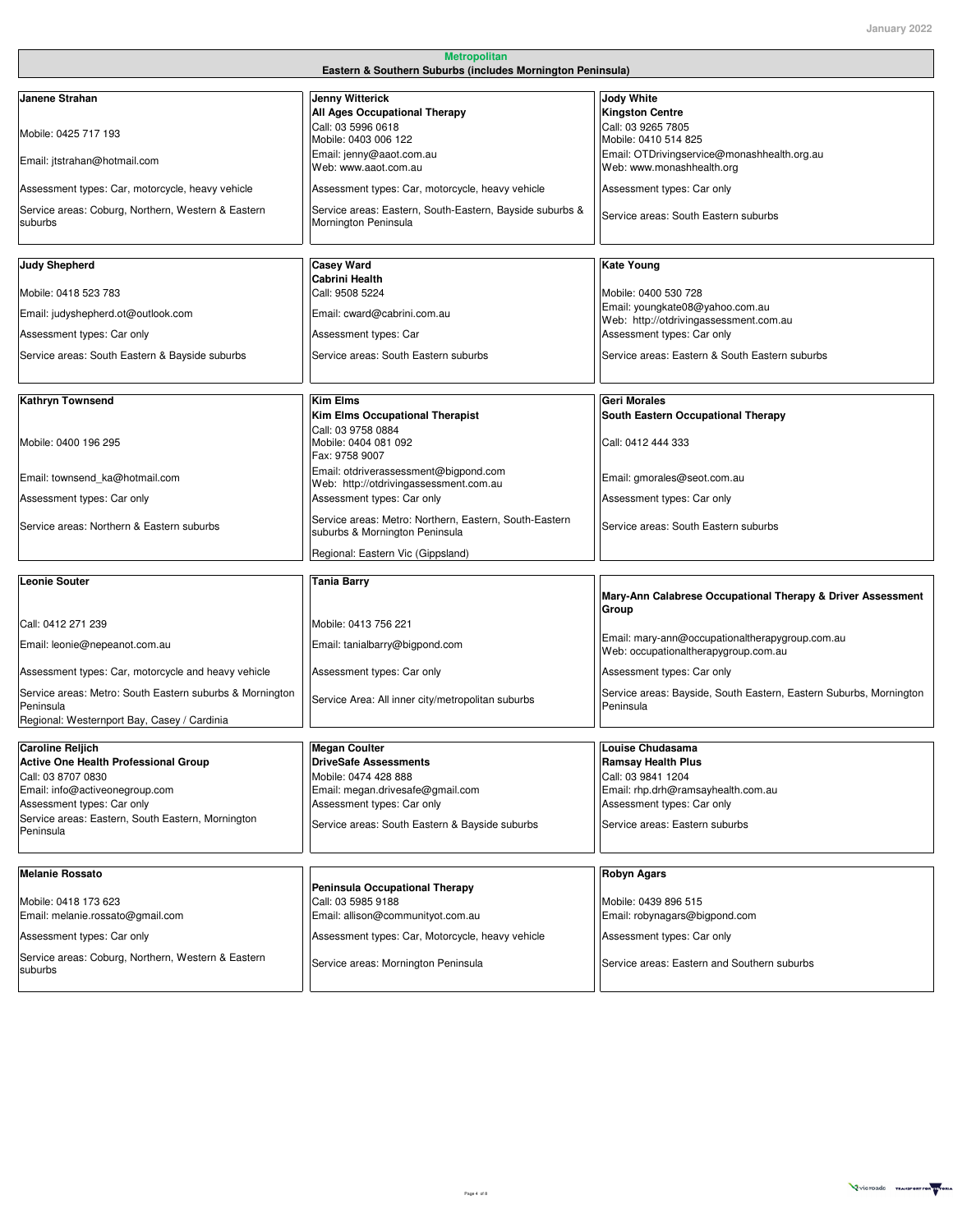| <b>Metropolitan</b>                                                                                                                                                                                                                                                           |                                                                                                                                                                                                               |                                                                                                                                                                                                                   |
|-------------------------------------------------------------------------------------------------------------------------------------------------------------------------------------------------------------------------------------------------------------------------------|---------------------------------------------------------------------------------------------------------------------------------------------------------------------------------------------------------------|-------------------------------------------------------------------------------------------------------------------------------------------------------------------------------------------------------------------|
| Eastern & Southern Suburbs (includes Mornington Peninsula)                                                                                                                                                                                                                    |                                                                                                                                                                                                               |                                                                                                                                                                                                                   |
| Janene Strahan<br>Mobile: 0425 717 193<br>Email: jtstrahan@hotmail.com<br>Assessment types: Car, motorcycle, heavy vehicle                                                                                                                                                    | <b>Jenny Witterick</b><br>All Ages Occupational Therapy<br>Call: 03 5996 0618<br>Mobile: 0403 006 122<br>Email: jenny@aaot.com.au<br>Web: www.aaot.com.au<br>Assessment types: Car, motorcycle, heavy vehicle | Jody White<br><b>Kingston Centre</b><br>Call: 03 9265 7805<br>Mobile: 0410 514 825<br>Email: OTDrivingservice@monashhealth.org.au<br>Web: www.monashhealth.org<br>Assessment types: Car only                      |
| Service areas: Coburg, Northern, Western & Eastern<br>suburbs                                                                                                                                                                                                                 | Service areas: Eastern, South-Eastern, Bayside suburbs &<br>Mornington Peninsula                                                                                                                              | Service areas: South Eastern suburbs                                                                                                                                                                              |
| <b>Judy Shepherd</b><br>Mobile: 0418 523 783<br>Email: judyshepherd.ot@outlook.com                                                                                                                                                                                            | <b>Casey Ward</b><br><b>Cabrini Health</b><br>Call: 9508 5224<br>Email: cward@cabrini.com.au                                                                                                                  | Kate Young<br>Mobile: 0400 530 728<br>Email: youngkate08@yahoo.com.au<br>Web: http://otdrivingassessment.com.au                                                                                                   |
| Assessment types: Car only<br>Service areas: South Eastern & Bayside suburbs                                                                                                                                                                                                  | Assessment types: Car<br>Service areas: South Eastern suburbs                                                                                                                                                 | Assessment types: Car only<br>Service areas: Eastern & South Eastern suburbs                                                                                                                                      |
| <b>Kathryn Townsend</b><br>Mobile: 0400 196 295                                                                                                                                                                                                                               | <b>Kim Elms</b><br>Kim Elms Occupational Therapist<br>Call: 03 9758 0884<br>Mobile: 0404 081 092<br>Fax: 9758 9007                                                                                            | Geri Morales<br>South Eastern Occupational Therapy<br>Call: 0412 444 333                                                                                                                                          |
| Email: townsend ka@hotmail.com<br>Assessment types: Car only<br>Service areas: Northern & Eastern suburbs                                                                                                                                                                     | Email: otdriverassessment@bigpond.com<br>Web: http://otdrivingassessment.com.au<br>Assessment types: Car only<br>Service areas: Metro: Northern, Eastern, South-Eastern<br>suburbs & Mornington Peninsula     | Email: gmorales@seot.com.au<br>Assessment types: Car only<br>Service areas: South Eastern suburbs                                                                                                                 |
| <b>Leonie Souter</b>                                                                                                                                                                                                                                                          | Regional: Eastern Vic (Gippsland)<br><b>Tania Barry</b>                                                                                                                                                       | Mary-Ann Calabrese Occupational Therapy & Driver Assessment                                                                                                                                                       |
| Call: 0412 271 239<br>Email: leonie@nepeanot.com.au<br>Assessment types: Car, motorcycle and heavy vehicle<br>Service areas: Metro: South Eastern suburbs & Mornington<br>Peninsula                                                                                           | Mobile: 0413 756 221<br>Email: tanialbarry@bigpond.com<br>Assessment types: Car only<br>Service Area: All inner city/metropolitan suburbs                                                                     | Group<br>Email: mary-ann@occupationaltherapygroup.com.au<br>Web: occupationaltherapygroup.com.au<br>Assessment types: Car only<br>Service areas: Bayside, South Eastern, Eastern Suburbs, Mornington<br>Peninsula |
| Regional: Westernport Bay, Casey / Cardinia<br><b>Caroline Reljich</b><br><b>Active One Health Professional Group</b><br>Call: 03 8707 0830<br>Email: info@activeonegroup.com<br>Assessment types: Car only<br>Service areas: Eastern, South Eastern, Mornington<br>Peninsula | <b>Megan Coulter</b><br><b>DriveSafe Assessments</b><br>Mobile: 0474 428 888<br>Email: megan.drivesafe@gmail.com<br>Assessment types: Car only<br>Service areas: South Eastern & Bayside suburbs              | Louise Chudasama<br><b>Ramsay Health Plus</b><br>Call: 03 9841 1204<br>Email: rhp.drh@ramsayhealth.com.au<br>Assessment types: Car only<br>Service areas: Eastern suburbs                                         |
| <b>Melanie Rossato</b><br>Mobile: 0418 173 623<br>Email: melanie.rossato@gmail.com<br>Assessment types: Car only<br>Service areas: Coburg, Northern, Western & Eastern<br>suburbs                                                                                             | <b>Peninsula Occupational Therapy</b><br>Call: 03 5985 9188<br>Email: allison@communityot.com.au<br>Assessment types: Car, Motorcycle, heavy vehicle<br>Service areas: Mornington Peninsula                   | Robyn Agars<br>Mobile: 0439 896 515<br>Email: robynagars@bigpond.com<br>Assessment types: Car only<br>Service areas: Eastern and Southern suburbs                                                                 |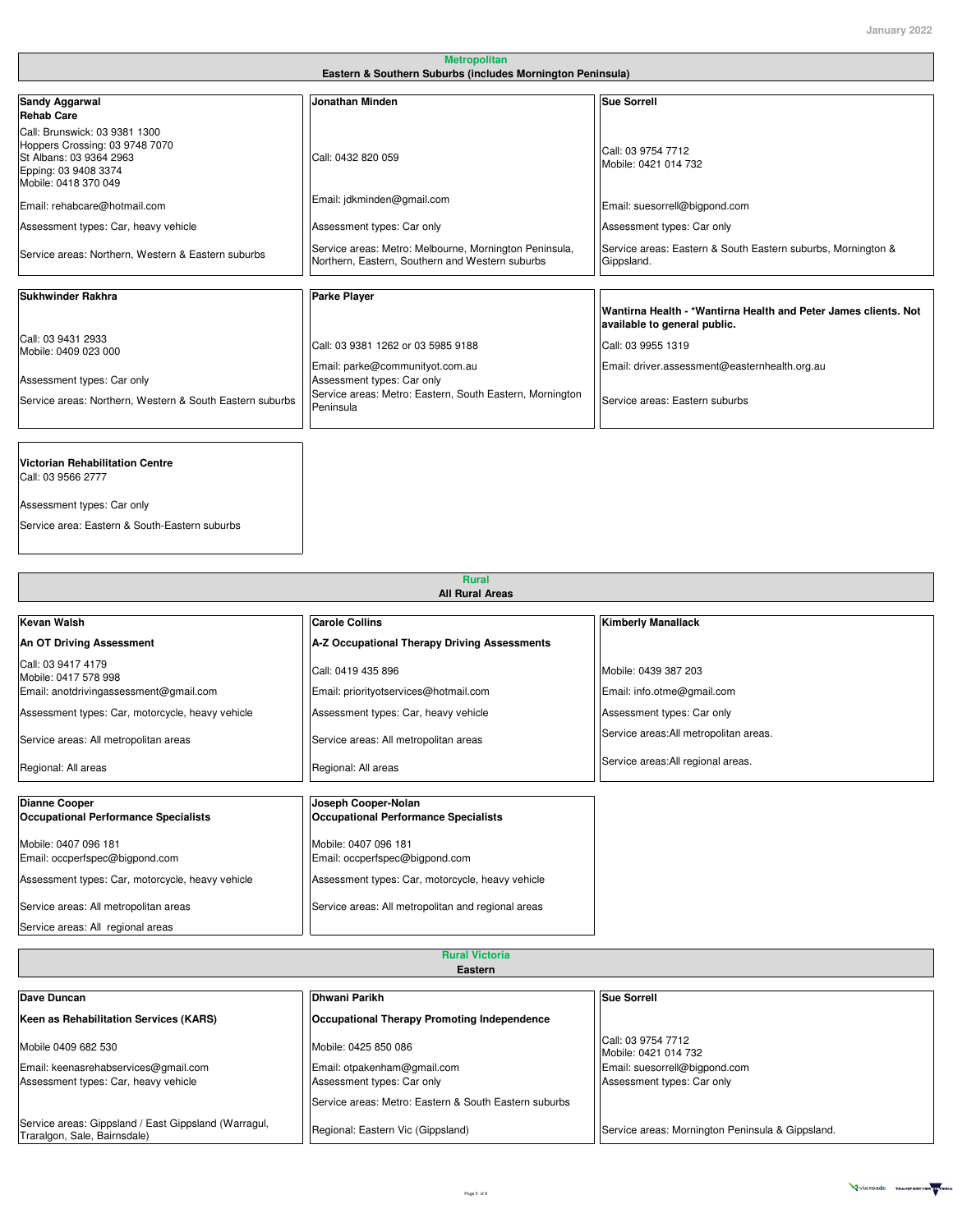| Eastern & Southern Suburbs (includes Mornington Peninsula)                                                                                                      |                                                                                                           |                                                                                                 |
|-----------------------------------------------------------------------------------------------------------------------------------------------------------------|-----------------------------------------------------------------------------------------------------------|-------------------------------------------------------------------------------------------------|
| <b>Sandy Aggarwal</b>                                                                                                                                           | Jonathan Minden                                                                                           | <b>Sue Sorrell</b>                                                                              |
| <b>Rehab Care</b><br>Call: Brunswick: 03 9381 1300<br>Hoppers Crossing: 03 9748 7070<br>St Albans: 03 9364 2963<br>Epping: 03 9408 3374<br>Mobile: 0418 370 049 | Call: 0432 820 059                                                                                        | Call: 03 9754 7712<br>Mobile: 0421 014 732                                                      |
| Email: rehabcare@hotmail.com                                                                                                                                    | Email: jdkminden@gmail.com                                                                                | Email: suesorrell@bigpond.com                                                                   |
| Assessment types: Car, heavy vehicle                                                                                                                            | Assessment types: Car only                                                                                | Assessment types: Car only                                                                      |
| Service areas: Northern, Western & Eastern suburbs                                                                                                              | Service areas: Metro: Melbourne, Mornington Peninsula,<br>Northern, Eastern, Southern and Western suburbs | Service areas: Eastern & South Eastern suburbs, Mornington &<br>Gippsland.                      |
| Sukhwinder Rakhra                                                                                                                                               | <b>Parke Player</b>                                                                                       |                                                                                                 |
|                                                                                                                                                                 |                                                                                                           | Wantirna Health - *Wantirna Health and Peter James clients. Not<br>available to general public. |
| Call: 03 9431 2933<br>Mobile: 0409 023 000                                                                                                                      | Call: 03 9381 1262 or 03 5985 9188                                                                        | Call: 03 9955 1319                                                                              |
| Assessment types: Car only                                                                                                                                      | Email: parke@communityot.com.au<br>Assessment types: Car only                                             | Email: driver.assessment@easternhealth.org.au                                                   |
| Service areas: Northern, Western & South Eastern suburbs                                                                                                        | Service areas: Metro: Eastern, South Eastern, Mornington<br>Peninsula                                     | Service areas: Eastern suburbs                                                                  |
|                                                                                                                                                                 |                                                                                                           |                                                                                                 |
| Victorian Rehabilitation Centre                                                                                                                                 |                                                                                                           |                                                                                                 |

**Metropolitan**

Call: 03 9566 2777 x x

Assessment types: Car only

Service area: Eastern & South-Eastern suburbs

x x **Rural All Rural Areas**

X x x

X x x

| Kevan Walsh                                                  | <b>Carole Collins</b>                                              | <b>Kimberly Manallack</b>              |
|--------------------------------------------------------------|--------------------------------------------------------------------|----------------------------------------|
| An OT Driving Assessment                                     | A-Z Occupational Therapy Driving Assessments                       |                                        |
| Call: 03 9417 4179<br>Mobile: 0417 578 998                   | Call: 0419 435 896                                                 | Mobile: 0439 387 203                   |
| Email: anotdrivingassessment@gmail.com                       | Email: priorityotservices@hotmail.com                              | Email: info.otme@gmail.com             |
| Assessment types: Car, motorcycle, heavy vehicle             | Assessment types: Car, heavy vehicle                               | Assessment types: Car only             |
| Service areas: All metropolitan areas                        | Service areas: All metropolitan areas                              | Service areas: All metropolitan areas. |
| Regional: All areas                                          | Regional: All areas                                                | Service areas: All regional areas.     |
| <b>Dianne Cooper</b><br>Occupational Performance Specialists | Joseph Cooper-Nolan<br><b>Occupational Performance Specialists</b> |                                        |
| Mobile: 0407 096 181                                         | Mobile: 0407 096 181                                               |                                        |
| Email: occperfspec@bigpond.com                               | Email: occperfspec@bigpond.com                                     |                                        |
| Assessment types: Car, motorcycle, heavy vehicle             | Assessment types: Car, motorcycle, heavy vehicle                   |                                        |
| Service areas: All metropolitan areas                        | Service areas: All metropolitan and regional areas                 |                                        |
| Service areas: All regional areas                            |                                                                    |                                        |

| <b>Rural Victoria</b> |
|-----------------------|
| Eastern               |

| Dave Duncan                                                                          | Dhwani Parikh                                         | <b>Sue Sorrell</b>                               |
|--------------------------------------------------------------------------------------|-------------------------------------------------------|--------------------------------------------------|
| Keen as Rehabilitation Services (KARS)                                               | Occupational Therapy Promoting Independence           |                                                  |
| Mobile 0409 682 530                                                                  | Mobile: 0425 850 086                                  | Call: 03 9754 7712<br>Mobile: 0421 014 732       |
| Email: keenasrehabservices@gmail.com                                                 | Email: otpakenham@gmail.com                           | Email: suesorrell@bigpond.com                    |
| Assessment types: Car, heavy vehicle                                                 | Assessment types: Car only                            | Assessment types: Car only                       |
|                                                                                      | Service areas: Metro: Eastern & South Eastern suburbs |                                                  |
| Service areas: Gippsland / East Gippsland (Warragul,<br>Traralgon, Sale, Bairnsdale) | Regional: Eastern Vic (Gippsland)                     | Service areas: Mornington Peninsula & Gippsland. |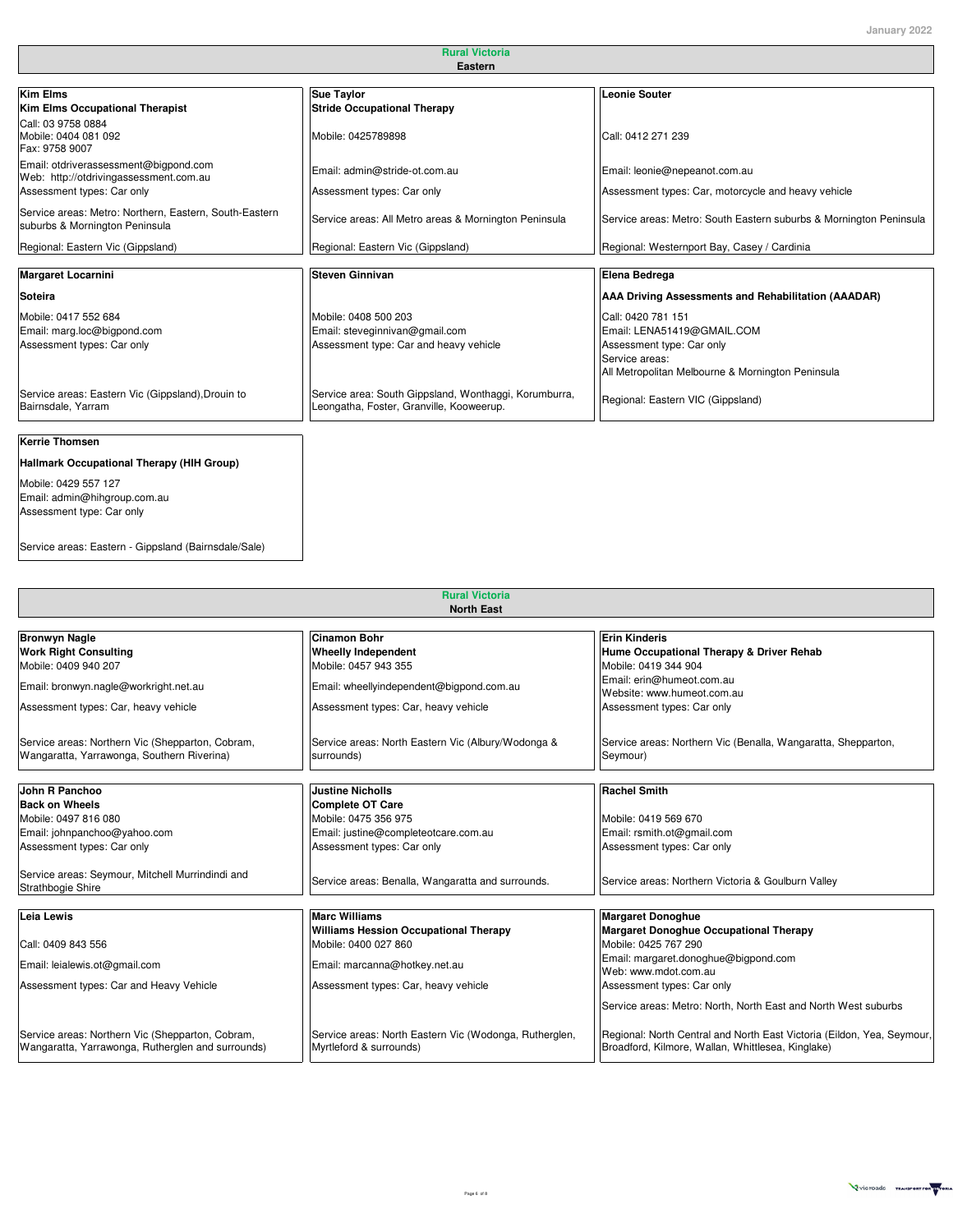| <b>Rural Victoria</b><br>Eastern                                                         |                                                                                                   |                                                                                                                                                      |
|------------------------------------------------------------------------------------------|---------------------------------------------------------------------------------------------------|------------------------------------------------------------------------------------------------------------------------------------------------------|
|                                                                                          |                                                                                                   |                                                                                                                                                      |
| Call: 03 9758 0884<br>Mobile: 0404 081 092<br>Fax: 9758 9007                             | Mobile: 0425789898                                                                                | Call: 0412 271 239                                                                                                                                   |
| Email: otdriverassessment@bigpond.com<br>Web: http://otdrivingassessment.com.au          | Email: admin@stride-ot.com.au                                                                     | Email: leonie@nepeanot.com.au                                                                                                                        |
| Assessment types: Car only                                                               | Assessment types: Car only                                                                        | Assessment types: Car, motorcycle and heavy vehicle                                                                                                  |
| Service areas: Metro: Northern, Eastern, South-Eastern<br>suburbs & Mornington Peninsula | Service areas: All Metro areas & Mornington Peninsula                                             | Service areas: Metro: South Eastern suburbs & Mornington Peninsula                                                                                   |
| Regional: Eastern Vic (Gippsland)                                                        | Regional: Eastern Vic (Gippsland)                                                                 | Regional: Westernport Bay, Casey / Cardinia                                                                                                          |
| <b>Margaret Locarnini</b>                                                                | <b>Steven Ginnivan</b>                                                                            | Elena Bedrega                                                                                                                                        |
| Soteira                                                                                  |                                                                                                   | AAA Driving Assessments and Rehabilitation (AAADAR)                                                                                                  |
| Mobile: 0417 552 684<br>Email: marg.loc@bigpond.com<br>Assessment types: Car only        | Mobile: 0408 500 203<br>Email: steveginnivan@gmail.com<br>Assessment type: Car and heavy vehicle  | Call: 0420 781 151<br>Email: LENA51419@GMAIL.COM<br>Assessment type: Car only<br>Service areas:<br>All Metropolitan Melbourne & Mornington Peninsula |
| Service areas: Eastern Vic (Gippsland), Drouin to<br>Bairnsdale, Yarram                  | Service area: South Gippsland, Wonthaggi, Korumburra,<br>Leongatha, Foster, Granville, Kooweerup. | Regional: Eastern VIC (Gippsland)                                                                                                                    |
| <b>Kerrie Thomsen</b>                                                                    |                                                                                                   |                                                                                                                                                      |
| Hallmark Occupational Therapy (HIH Group)                                                |                                                                                                   |                                                                                                                                                      |
| Mobile: 0429 557 127<br>Email: admin@hihgroup.com.au<br>Assessment type: Car only        |                                                                                                   |                                                                                                                                                      |

Service areas: Eastern - Gippsland (Bairnsdale/Sale) **x x**

x **x x**

| <b>Rural Victoria</b><br><b>North East</b>                                                            |                                                                                   |                                                                                                                             |
|-------------------------------------------------------------------------------------------------------|-----------------------------------------------------------------------------------|-----------------------------------------------------------------------------------------------------------------------------|
| <b>Bronwyn Nagle</b><br><b>Work Right Consulting</b>                                                  | <b>Cinamon Bohr</b><br><b>Wheelly Independent</b>                                 | <b>Erin Kinderis</b><br>Hume Occupational Therapy & Driver Rehab                                                            |
| Mobile: 0409 940 207                                                                                  | Mobile: 0457 943 355                                                              | Mobile: 0419 344 904                                                                                                        |
| Email: bronwyn.nagle@workright.net.au                                                                 | Email: wheellyindependent@bigpond.com.au                                          | Email: erin@humeot.com.au<br>Website: www.humeot.com.au                                                                     |
| Assessment types: Car, heavy vehicle                                                                  | Assessment types: Car, heavy vehicle                                              | Assessment types: Car only                                                                                                  |
| Service areas: Northern Vic (Shepparton, Cobram,<br>Wangaratta, Yarrawonga, Southern Riverina)        | Service areas: North Eastern Vic (Albury/Wodonga &<br>surrounds)                  | Service areas: Northern Vic (Benalla, Wangaratta, Shepparton,<br>Seymour)                                                   |
| John R Panchoo                                                                                        | <b>Justine Nicholls</b>                                                           | <b>Rachel Smith</b>                                                                                                         |
| <b>Back on Wheels</b>                                                                                 | Complete OT Care                                                                  |                                                                                                                             |
| Mobile: 0497 816 080                                                                                  | Mobile: 0475 356 975                                                              | Mobile: 0419 569 670                                                                                                        |
| Email: johnpanchoo@yahoo.com                                                                          | Email: justine@completeotcare.com.au                                              | Email: rsmith.ot@gmail.com                                                                                                  |
| Assessment types: Car only                                                                            | Assessment types: Car only                                                        | Assessment types: Car only                                                                                                  |
| Service areas: Seymour, Mitchell Murrindindi and<br>Strathbogie Shire                                 | Service areas: Benalla, Wangaratta and surrounds.                                 | Service areas: Northern Victoria & Goulburn Valley                                                                          |
|                                                                                                       |                                                                                   |                                                                                                                             |
| Leia Lewis                                                                                            | <b>Marc Williams</b>                                                              | <b>Margaret Donoghue</b>                                                                                                    |
| Call: 0409 843 556                                                                                    | <b>Williams Hession Occupational Therapy</b><br>Mobile: 0400 027 860              | <b>Margaret Donoghue Occupational Therapy</b><br>Mobile: 0425 767 290                                                       |
| Email: leialewis.ot@gmail.com                                                                         | Email: marcanna@hotkey.net.au                                                     | Email: margaret.donoghue@bigpond.com<br>Web: www.mdot.com.au                                                                |
| Assessment types: Car and Heavy Vehicle                                                               | Assessment types: Car, heavy vehicle                                              | Assessment types: Car only                                                                                                  |
|                                                                                                       |                                                                                   | Service areas: Metro: North, North East and North West suburbs                                                              |
| Service areas: Northern Vic (Shepparton, Cobram,<br>Wangaratta, Yarrawonga, Rutherglen and surrounds) | Service areas: North Eastern Vic (Wodonga, Rutherglen,<br>Myrtleford & surrounds) | Regional: North Central and North East Victoria (Eildon, Yea, Seymour,<br>Broadford, Kilmore, Wallan, Whittlesea, Kinglake) |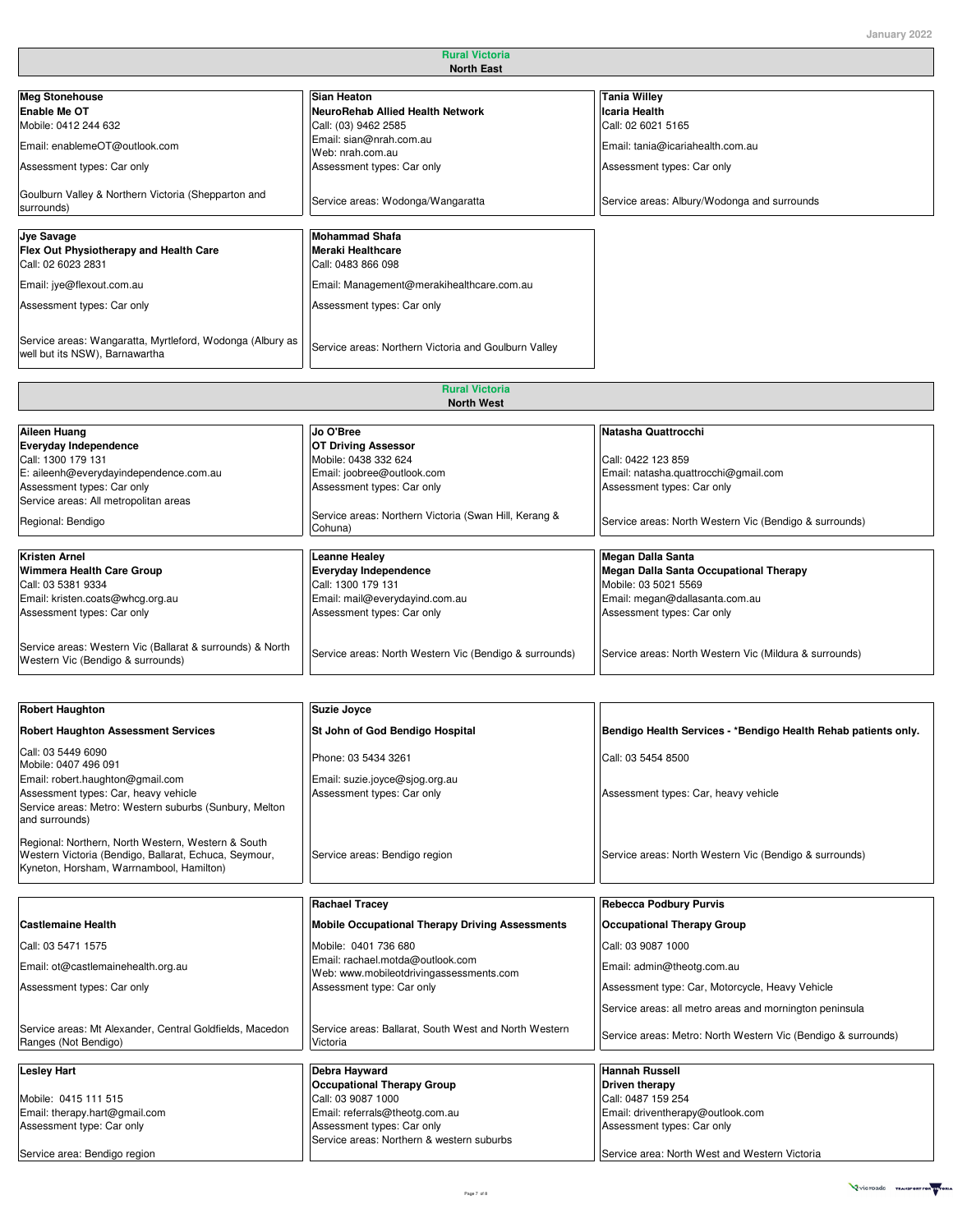┓

| <b>North East</b>                                                                           |                                                                         |                                             |
|---------------------------------------------------------------------------------------------|-------------------------------------------------------------------------|---------------------------------------------|
|                                                                                             |                                                                         |                                             |
| <b>Meg Stonehouse</b>                                                                       | <b>Sian Heaton</b>                                                      | <b>Tania Willey</b>                         |
| Enable Me OT                                                                                | NeuroRehab Allied Health Network                                        | Icaria Health                               |
| Mobile: 0412 244 632                                                                        | Call: (03) 9462 2585                                                    | Call: 02 6021 5165                          |
| Email: enablemeOT@outlook.com                                                               | Email: sian@nrah.com.au<br>Web: nrah.com.au                             | Email: tania@icariahealth.com.au            |
| Assessment types: Car only                                                                  | Assessment types: Car only                                              | Assessment types: Car only                  |
| Goulburn Valley & Northern Victoria (Shepparton and<br>surrounds)                           | Service areas: Wodonga/Wangaratta                                       | Service areas: Albury/Wodonga and surrounds |
| <b>Jye Savage</b><br>Flex Out Physiotherapy and Health Care<br>Call: 02 6023 2831           | <b>Mohammad Shafa</b><br><b>Meraki Healthcare</b><br>Call: 0483 866 098 |                                             |
| Email: jye@flexout.com.au                                                                   | Email: Management@merakihealthcare.com.au                               |                                             |
| Assessment types: Car only                                                                  | Assessment types: Car only                                              |                                             |
| Service areas: Wangaratta, Myrtleford, Wodonga (Albury as<br>well but its NSW), Barnawartha | Service areas: Northern Victoria and Goulburn Valley                    |                                             |
|                                                                                             |                                                                         |                                             |
|                                                                                             | <b>Rural Victoria</b>                                                   |                                             |

**Rural Victoria**

|                                                                                                | <b>North West</b>                                                |                                                        |
|------------------------------------------------------------------------------------------------|------------------------------------------------------------------|--------------------------------------------------------|
|                                                                                                |                                                                  |                                                        |
| Aileen Huang                                                                                   | Jo O'Bree                                                        | Natasha Quattrocchi                                    |
| Everyday Independence                                                                          | <b>OT Driving Assessor</b>                                       |                                                        |
| Call: 1300 179 131                                                                             | Mobile: 0438 332 624                                             | Call: 0422 123 859                                     |
| E: aileenh@everydayindependence.com.au                                                         | Email: joobree@outlook.com                                       | Email: natasha.quattrocchi@gmail.com                   |
| Assessment types: Car only                                                                     | Assessment types: Car only                                       | Assessment types: Car only                             |
| Service areas: All metropolitan areas                                                          |                                                                  |                                                        |
| Regional: Bendigo                                                                              | Service areas: Northern Victoria (Swan Hill, Kerang &<br>Cohuna) | Service areas: North Western Vic (Bendigo & surrounds) |
|                                                                                                |                                                                  |                                                        |
| <b>Kristen Arnel</b>                                                                           | <b>Leanne Healey</b>                                             | <b>Megan Dalla Santa</b>                               |
| Wimmera Health Care Group                                                                      | <b>Everyday Independence</b>                                     | <b>Megan Dalla Santa Occupational Therapy</b>          |
| Call: 03 5381 9334                                                                             | Call: 1300 179 131                                               | Mobile: 03 5021 5569                                   |
| Email: kristen.coats@whcg.org.au                                                               | Email: mail@everydayind.com.au                                   | Email: megan@dallasanta.com.au                         |
| Assessment types: Car only                                                                     | Assessment types: Car only                                       | Assessment types: Car only                             |
|                                                                                                |                                                                  |                                                        |
| Service areas: Western Vic (Ballarat & surrounds) & North<br>Western Vic (Bendigo & surrounds) | Service areas: North Western Vic (Bendigo & surrounds)           | Service areas: North Western Vic (Mildura & surrounds) |

| <b>Robert Haughton</b>                                                                                                                                  | <b>Suzie Joyce</b>                                                          |                                                                |
|---------------------------------------------------------------------------------------------------------------------------------------------------------|-----------------------------------------------------------------------------|----------------------------------------------------------------|
| <b>Robert Haughton Assessment Services</b>                                                                                                              | St John of God Bendigo Hospital                                             | Bendigo Health Services - *Bendigo Health Rehab patients only. |
| Call: 03 5449 6090<br>Mobile: 0407 496 091                                                                                                              | Phone: 03 5434 3261                                                         | Call: 03 5454 8500                                             |
| Email: robert.haughton@gmail.com<br>Assessment types: Car, heavy vehicle<br>Service areas: Metro: Western suburbs (Sunbury, Melton<br>and surrounds)    | Email: suzie.joyce@sjog.org.au<br>Assessment types: Car only                | Assessment types: Car, heavy vehicle                           |
| Regional: Northern, North Western, Western & South<br>Western Victoria (Bendigo, Ballarat, Echuca, Seymour,<br>Kyneton, Horsham, Warrnambool, Hamilton) | Service areas: Bendigo region                                               | Service areas: North Western Vic (Bendigo & surrounds)         |
|                                                                                                                                                         | <b>Rachael Tracev</b>                                                       | <b>Rebecca Podbury Purvis</b>                                  |
| <b>Castlemaine Health</b>                                                                                                                               | <b>Mobile Occupational Therapy Driving Assessments</b>                      | <b>Occupational Therapy Group</b>                              |
| Call: 03 5471 1575                                                                                                                                      | Mobile: 0401 736 680                                                        | Call: 03 9087 1000                                             |
| Email: ot@castlemainehealth.org.au                                                                                                                      | Email: rachael.motda@outlook.com<br>Web: www.mobileotdrivingassessments.com | Email: admin@theotg.com.au                                     |
| Assessment types: Car only                                                                                                                              | Assessment type: Car only                                                   | Assessment type: Car, Motorcycle, Heavy Vehicle                |
|                                                                                                                                                         |                                                                             | Service areas: all metro areas and mornington peninsula        |
| Service areas: Mt Alexander, Central Goldfields, Macedon<br>Ranges (Not Bendigo)                                                                        | Service areas: Ballarat, South West and North Western<br>Victoria           | Service areas: Metro: North Western Vic (Bendigo & surrounds)  |
| <b>Lesley Hart</b>                                                                                                                                      | <b>Debra Hayward</b>                                                        | <b>Hannah Russell</b>                                          |
|                                                                                                                                                         | <b>Occupational Therapy Group</b>                                           | <b>Driven therapy</b>                                          |
| Mobile: 0415 111 515                                                                                                                                    | Call: 03 9087 1000                                                          | Call: 0487 159 254                                             |
| Email: therapy.hart@gmail.com                                                                                                                           | Email: referrals@theotg.com.au                                              | Email: driventherapy@outlook.com                               |
| Assessment type: Car only                                                                                                                               | Assessment types: Car only                                                  | Assessment types: Car only                                     |
|                                                                                                                                                         | Service areas: Northern & western suburbs                                   |                                                                |
| Service area: Bendigo region                                                                                                                            |                                                                             | Service area: North West and Western Victoria                  |